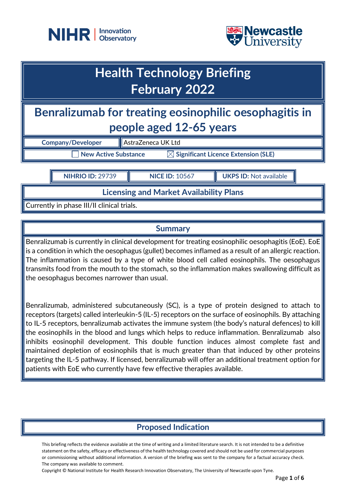



## **Health Technology Briefing February 2022**

**Benralizumab for treating eosinophilic oesophagitis in people aged 12-65 years**

| <b>Company/Developer</b> | AstraZeneca UK Ltd                              |
|--------------------------|-------------------------------------------------|
| New Active Substance     | $\boxtimes$ Significant Licence Extension (SLE) |

**NIHRIO ID:** 29739 **NICE ID:** 10567 **UKPS ID:** Not available

**Licensing and Market Availability Plans**

Currently in phase III/II clinical trials.

### **Summary**

Benralizumab is currently in clinical development for treating eosinophilic oesophagitis (EoE). EoE is a condition in which the oesophagus (gullet) becomes inflamed as a result of an allergic reaction. The inflammation is caused by a type of white blood cell called eosinophils. The oesophagus transmits food from the mouth to the stomach, so the inflammation makes swallowing difficult as the oesophagus becomes narrower than usual.

Benralizumab, administered subcutaneously (SC), is a type of protein designed to attach to receptors (targets) called interleukin-5 (IL-5) receptors on the surface of eosinophils. By attaching to IL-5 receptors, benralizumab activates the immune system (the body's natural defences) to kill the eosinophils in the blood and lungs which helps to reduce inflammation. Benralizumab also inhibits eosinophil development. This double function induces almost complete fast and maintained depletion of eosinophils that is much greater than that induced by other proteins targeting the IL-5 pathway. If licensed, benralizumab will offer an additional treatment option for patients with EoE who currently have few effective therapies available.

## **Proposed Indication**

This briefing reflects the evidence available at the time of writing and a limited literature search. It is not intended to be a definitive statement on the safety, efficacy or effectiveness of the health technology covered and should not be used for commercial purposes or commissioning without additional information. A version of the briefing was sent to the company for a factual accuracy check. The company was available to comment.

Copyright © National Institute for Health Research Innovation Observatory, The University of Newcastle upon Tyne.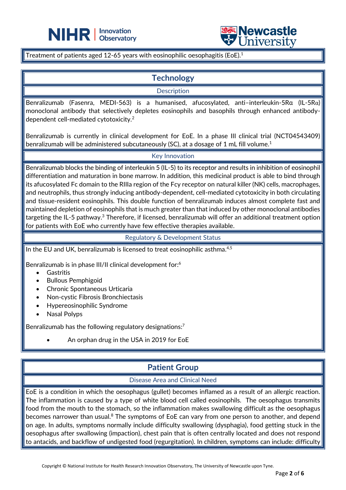



Treatment of patients aged 12-65 years with eosinophilic oesophagitis (EoE).<sup>1</sup>

֦

### **Technology**

**Description** 

Benralizumab (Fasenra, MEDI-563) is a humanised, afucosylated, anti–interleukin-5Rα (IL-5Rα) monoclonal antibody that selectively depletes eosinophils and basophils through enhanced antibodydependent cell-mediated cytotoxicity.<sup>2</sup>

Benralizumab is currently in clinical development for EoE. In a phase III clinical trial (NCT04543409) benralizumab will be administered subcutaneously (SC), at a dosage of 1 mL fill volume.<sup>1</sup>

### Key Innovation

Benralizumab blocks the binding of interleukin 5 (IL-5) to its receptor and results in inhibition of eosinophil differentiation and maturation in bone marrow. In addition, this medicinal product is able to bind through its afucosylated Fc domain to the RIIIa region of the Fcy receptor on natural killer (NK) cells, macrophages, and neutrophils, thus strongly inducing antibody-dependent, cell-mediated cytotoxicity in both circulating and tissue-resident eosinophils. This double function of benralizumab induces almost complete fast and maintained depletion of eosinophils that is much greater than that induced by other monoclonal antibodies targeting the IL-5 pathway.<sup>3</sup> Therefore, if licensed, benralizumab will offer an additional treatment option for patients with EoE who currently have few effective therapies available.

Regulatory & Development Status

In the EU and UK, benralizumab is licensed to treat eosinophilic asthma.<sup>4,5</sup>

Benralizumab is in phase III/II clinical development for: 6

- **Gastritis**
- Bullous Pemphigoid
- Chronic Spontaneous Urticaria
- Non-cystic Fibrosis Bronchiectasis
- Hypereosinophilic Syndrome
- Nasal Polyps

Benralizumab has the following regulatory designations: 7

• An orphan drug in the USA in 2019 for EoE

### **Patient Group**

#### Disease Area and Clinical Need

EoE is a condition in which the oesophagus (gullet) becomes inflamed as a result of an allergic reaction. The inflammation is caused by a type of white blood cell called eosinophils. The oesophagus transmits food from the mouth to the stomach, so the inflammation makes swallowing difficult as the oesophagus becomes narrower than usual.<sup>8</sup> The symptoms of EoE can vary from one person to another, and depend on age. In adults, symptoms normally include difficulty swallowing (dysphagia), food getting stuck in the oesophagus after swallowing (impaction), chest pain that is often centrally located and does not respond to antacids, and backflow of undigested food (regurgitation). In children, symptoms can include: difficulty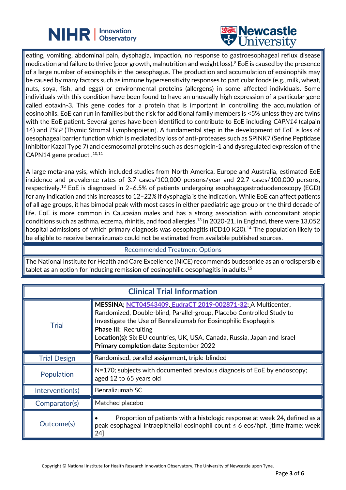## **NIHR** | Innovation



eating, vomiting, abdominal pain, dysphagia, impaction, no response to gastroesophageal reflux disease medication and failure to thrive (poor growth, malnutrition and weight loss). <sup>9</sup> EoE is caused by the presence of a large number of eosinophils in the oesophagus. The production and accumulation of eosinophils may be caused by many factors such as immune hypersensitivity responses to particular foods (e.g., milk, wheat, nuts, soya, fish, and eggs) or environmental proteins (allergens) in some affected individuals. Some individuals with this condition have been found to have an unusually high expression of a particular gene called eotaxin-3. This gene codes for a protein that is important in controlling the accumulation of eosinophils. EoE can run in families but the risk for additional family members is <5% unless they are twins with the EoE patient. Several genes have been identified to contribute to EoE including *CAPN14* (calpain 14) and *TSLP* (Thymic Stromal Lymphopoietin). A fundamental step in the development of EoE is loss of oesophageal barrier function which is mediated by loss of anti-proteases such as SPINK7 (Serine Peptidase Inhibitor Kazal Type 7) and desmosomal proteins such as desmoglein-1 and dysregulated expression of the CAPN14 gene product .10,11

֦

A large meta-analysis, which included studies from North America, Europe and Australia, estimated EoE incidence and prevalence rates of 3.7 cases/100,000 persons/year and 22.7 cases/100,000 persons, respectively.<sup>12</sup> EoE is diagnosed in 2–6.5% of patients undergoing esophagogastroduodenoscopy (EGD) for any indication and this increases to 12–22% if dysphagia is the indication. While EoE can affect patients of all age groups, it has bimodal peak with most cases in either paediatric age group or the third decade of life. EoE is more common in Caucasian males and has a strong association with concomitant atopic conditions such as asthma, eczema, rhinitis, and food allergies.<sup>13</sup> In 2020-21, in England, there were 13,052 hospital admissions of which primary diagnosis was oesophagitis (ICD10 K20).<sup>14</sup> The population likely to be eligible to receive benralizumab could not be estimated from available published sources.

#### Recommended Treatment Options

The National Institute for Health and Care Excellence (NICE) recommends budesonide as an orodispersible tablet as an option for inducing remission of eosinophilic oesophagitis in adults. 15

| <b>Clinical Trial Information</b> |                                                                                                                                                                                                                                                                                                                                                                         |
|-----------------------------------|-------------------------------------------------------------------------------------------------------------------------------------------------------------------------------------------------------------------------------------------------------------------------------------------------------------------------------------------------------------------------|
| <b>Trial</b>                      | MESSINA; NCT04543409, EudraCT 2019-002871-32; A Multicenter,<br>Randomized, Double-blind, Parallel-group, Placebo Controlled Study to<br>Investigate the Use of Benralizumab for Eosinophilic Esophagitis<br><b>Phase III: Recruiting</b><br><b>Location(s):</b> Six EU countries, UK, USA, Canada, Russia, Japan and Israel<br>Primary completion date: September 2022 |
| <b>Trial Design</b>               | Randomised, parallel assignment, triple-blinded                                                                                                                                                                                                                                                                                                                         |
| Population                        | N=170; subjects with documented previous diagnosis of EoE by endoscopy;<br>aged 12 to 65 years old                                                                                                                                                                                                                                                                      |
| Intervention(s)                   | Benralizumab SC                                                                                                                                                                                                                                                                                                                                                         |
| Comparator(s)                     | Matched placebo                                                                                                                                                                                                                                                                                                                                                         |
| Outcome(s)                        | Proportion of patients with a histologic response at week 24, defined as a<br>peak esophageal intraepithelial eosinophil count ≤ 6 eos/hpf. [time frame: week]<br>24]                                                                                                                                                                                                   |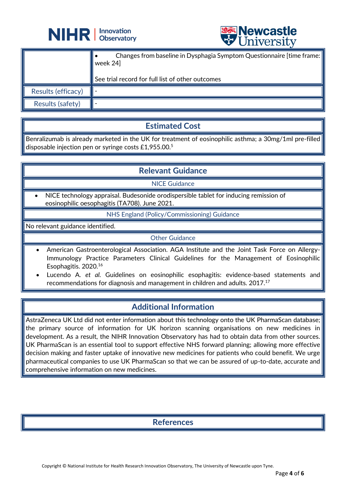



|                         | <b>A</b> CITTACTOTA                                                                                                                      |
|-------------------------|------------------------------------------------------------------------------------------------------------------------------------------|
|                         | Changes from baseline in Dysphagia Symptom Questionnaire [time frame:   <br>week 24]<br>See trial record for full list of other outcomes |
|                         |                                                                                                                                          |
| Results (efficacy)      |                                                                                                                                          |
| <b>Results (safety)</b> |                                                                                                                                          |

### **Estimated Cost**

Benralizumab is already marketed in the UK for treatment of eosinophilic asthma; a 30mg/1ml pre-filled disposable injection pen or syringe costs £1,955.00. 5

### **Relevant Guidance**

NICE Guidance

• NICE technology appraisal. Budesonide orodispersible tablet for inducing remission of eosinophilic oesophagitis (TA708). June 2021.

NHS England (Policy/Commissioning) Guidance

No relevant guidance identified.

Other Guidance

- American Gastroenterological Association. AGA Institute and the Joint Task Force on Allergy-Immunology Practice Parameters Clinical Guidelines for the Management of Eosinophilic Esophagitis. 2020.<sup>16</sup>
- Lucendo A. *et al.* Guidelines on eosinophilic esophagitis: evidence-based statements and recommendations for diagnosis and management in children and adults. 2017.<sup>17</sup>

### **Additional Information**

AstraZeneca UK Ltd did not enter information about this technology onto the UK PharmaScan database; the primary source of information for UK horizon scanning organisations on new medicines in development. As a result, the NIHR Innovation Observatory has had to obtain data from other sources. UK PharmaScan is an essential tool to support effective NHS forward planning; allowing more effective decision making and faster uptake of innovative new medicines for patients who could benefit. We urge pharmaceutical companies to use UK PharmaScan so that we can be assured of up-to-date, accurate and comprehensive information on new medicines.

### **References**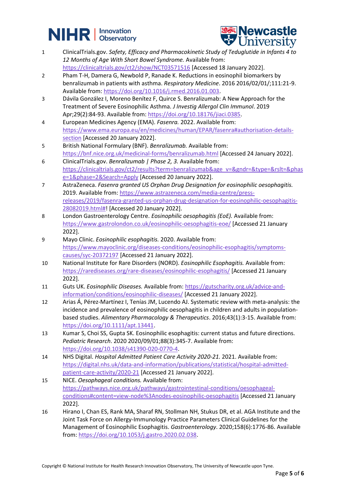# **NIHR Dispervation**



- 1 ClinicalTrials.gov. *Safety, Efficacy and Pharmacokinetic Study of Teduglutide in Infants 4 to 12 Months of Age With Short Bowel Syndrome.* Available from: <https://clinicaltrials.gov/ct2/show/NCT03571516> [Accessed 18 January 2022].
- 2 Pham T-H, Damera G, Newbold P, Ranade K. Reductions in eosinophil biomarkers by benralizumab in patients with asthma. *Respiratory Medicine*. 2016 2016/02/01/;111:21-9. Available from[: https://doi.org/10.1016/j.rmed.2016.01.003.](https://doi.org/10.1016/j.rmed.2016.01.003)
- 3 Dávila González I, Moreno Benítez F, Quirce S. Benralizumab: A New Approach for the Treatment of Severe Eosinophilic Asthma. *J Investig Allergol Clin Immunol*. 2019 Apr;29(2):84-93. Available from[: https://doi.org/10.18176/jiaci.0385.](https://doi.org/10.18176/jiaci.0385)
- 4 European Medicines Agency (EMA). *Fasenra.* 2022. Available from: [https://www.ema.europa.eu/en/medicines/human/EPAR/fasenra#authorisation-details](https://www.ema.europa.eu/en/medicines/human/EPAR/fasenra#authorisation-details-section)[section](https://www.ema.europa.eu/en/medicines/human/EPAR/fasenra#authorisation-details-section) [Accessed 20 January 2022].
- 5 British National Formulary (BNF). *Benralizumab.* Available from: <https://bnf.nice.org.uk/medicinal-forms/benralizumab.html> [Accessed 24 January 2022].
- 6 ClinicalTrials.gov. *Benralizumab | Phase 2, 3.* Available from: [https://clinicaltrials.gov/ct2/results?term=benralizumab&age\\_v=&gndr=&type=&rslt=&phas](https://clinicaltrials.gov/ct2/results?term=benralizumab&age_v=&gndr=&type=&rslt=&phase=1&phase=2&Search=Apply) [e=1&phase=2&Search=Apply](https://clinicaltrials.gov/ct2/results?term=benralizumab&age_v=&gndr=&type=&rslt=&phase=1&phase=2&Search=Apply) [Accessed 20 January 2022].
- 7 AstraZeneca. *Fasenra granted US Orphan Drug Designation for eosinophilic oesophagitis.* 2019. Available from: [https://www.astrazeneca.com/media-centre/press](https://www.astrazeneca.com/media-centre/press-releases/2019/fasenra-granted-us-orphan-drug-designation-for-eosinophilic-oesophagitis-28082019.html)[releases/2019/fasenra-granted-us-orphan-drug-designation-for-eosinophilic-oesophagitis-](https://www.astrazeneca.com/media-centre/press-releases/2019/fasenra-granted-us-orphan-drug-designation-for-eosinophilic-oesophagitis-28082019.html)[28082019.html#!](https://www.astrazeneca.com/media-centre/press-releases/2019/fasenra-granted-us-orphan-drug-designation-for-eosinophilic-oesophagitis-28082019.html) [Accessed 20 January 2022].
- 8 London Gastroenterology Centre. *Eosinophilic oesophagitis (EoE).* Available from: <https://www.gastrolondon.co.uk/eosinophilic-oesophagitis-eoe/> [Accessed 21 January 2022].
- 9 Mayo Clinic. *Eosinophilic esophagitis.* 2020. Available from: [https://www.mayoclinic.org/diseases-conditions/eosinophilic-esophagitis/symptoms](https://www.mayoclinic.org/diseases-conditions/eosinophilic-esophagitis/symptoms-causes/syc-20372197)[causes/syc-20372197](https://www.mayoclinic.org/diseases-conditions/eosinophilic-esophagitis/symptoms-causes/syc-20372197) [Accessed 21 January 2022].
- 10 National Institute for Rare Disorders (NORD). *Eosinophilic Esophagitis.* Available from: <https://rarediseases.org/rare-diseases/eosinophilic-esophagitis/> [Accessed 21 January 2022].
- 11 Guts UK. *Eosinophilic Diseases.* Available from: [https://gutscharity.org.uk/advice-and](https://gutscharity.org.uk/advice-and-information/conditions/eosinophilic-diseases/)[information/conditions/eosinophilic-diseases/](https://gutscharity.org.uk/advice-and-information/conditions/eosinophilic-diseases/) [Accessed 21 January 2022].
- 12 Arias Á, Pérez-Martínez I, Tenías JM, Lucendo AJ. Systematic review with meta-analysis: the incidence and prevalence of eosinophilic oesophagitis in children and adults in populationbased studies. *Alimentary Pharmacology & Therapeutics*. 2016;43(1):3-15. Available from: [https://doi.org/10.1111/apt.13441.](https://doi.org/10.1111/apt.13441)
- 13 Kumar S, Choi SS, Gupta SK. Eosinophilic esophagitis: current status and future directions. *Pediatric Research*. 2020 2020/09/01;88(3):345-7. Available from: [https://doi.org/10.1038/s41390-020-0770-4.](https://doi.org/10.1038/s41390-020-0770-4)
- 14 NHS Digital. *Hospital Admitted Patient Care Activity 2020-21.* 2021. Available from: [https://digital.nhs.uk/data-and-information/publications/statistical/hospital-admitted](https://digital.nhs.uk/data-and-information/publications/statistical/hospital-admitted-patient-care-activity/2020-21)[patient-care-activity/2020-21](https://digital.nhs.uk/data-and-information/publications/statistical/hospital-admitted-patient-care-activity/2020-21) [Accessed 21 January 2022].
- 15 NICE. *Oesophageal conditions.* Available from: [https://pathways.nice.org.uk/pathways/gastrointestinal-conditions/oesophageal](https://pathways.nice.org.uk/pathways/gastrointestinal-conditions/oesophageal-conditions#content=view-node%3Anodes-eosinophilic-oesophagitis)[conditions#content=view-node%3Anodes-eosinophilic-oesophagitis](https://pathways.nice.org.uk/pathways/gastrointestinal-conditions/oesophageal-conditions#content=view-node%3Anodes-eosinophilic-oesophagitis) [Accessed 21 January 2022].
- 16 Hirano I, Chan ES, Rank MA, Sharaf RN, Stollman NH, Stukus DR, et al. AGA Institute and the Joint Task Force on Allergy-Immunology Practice Parameters Clinical Guidelines for the Management of Eosinophilic Esophagitis. *Gastroenterology*. 2020;158(6):1776-86. Available from: [https://doi.org/10.1053/j.gastro.2020.02.038.](https://doi.org/10.1053/j.gastro.2020.02.038)